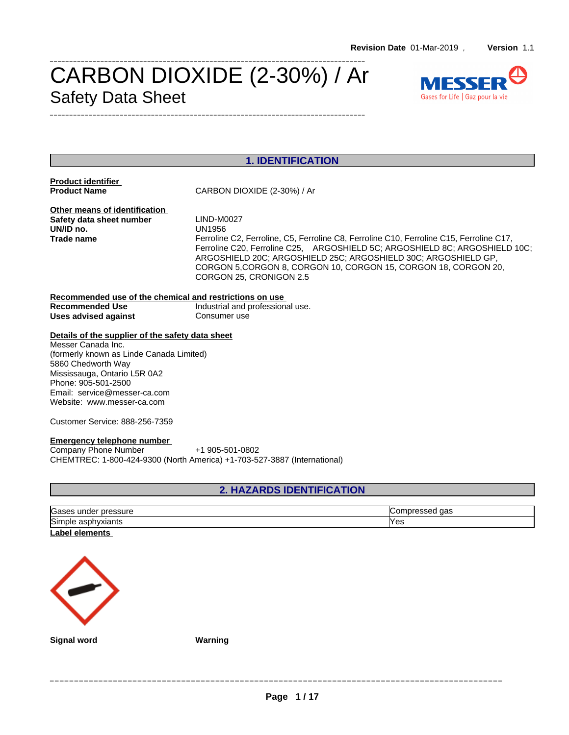## CARBON DIOXIDE (2-30%) / Ar Safety Data Sheet \_\_\_\_\_\_\_\_\_\_\_\_\_\_\_\_\_\_\_\_\_\_\_\_\_\_\_\_\_\_\_\_\_\_\_\_\_\_\_\_\_\_\_\_\_\_\_\_\_\_\_\_\_\_\_\_\_\_\_\_\_\_\_\_\_\_\_\_\_\_\_\_\_\_\_\_\_\_\_\_\_



## **1. IDENTIFICATION**

**Product identifier**

**Product Name** CARBON DIOXIDE (2-30%) / Ar

\_\_\_\_\_\_\_\_\_\_\_\_\_\_\_\_\_\_\_\_\_\_\_\_\_\_\_\_\_\_\_\_\_\_\_\_\_\_\_\_\_\_\_\_\_\_\_\_\_\_\_\_\_\_\_\_\_\_\_\_\_\_\_\_\_\_\_\_\_\_\_\_\_\_\_\_\_\_\_\_\_

**Other means of identification**<br> **Safety data sheet number** LIND-M0027 **Safety data sheet number** LIND-MOND LIND-MOND LIND-MOND UN/ID no.

**Trade name** Ferroline C2, Ferroline, C5, Ferroline C8, Ferroline C10, Ferroline C15, Ferroline C17, Ferroline C20, Ferroline C25, ARGOSHIELD 5C; ARGOSHIELD 8C; ARGOSHIELD 10C; ARGOSHIELD 20C; ARGOSHIELD 25C; ARGOSHIELD 30C; ARGOSHIELD GP, CORGON 5,CORGON 8, CORGON 10, CORGON 15, CORGON 18, CORGON 20, CORGON 25, CRONIGON 2.5

#### **Recommended use of the chemical and restrictions on use** Industrial and professional use.<br>Consumer use **Uses** advised against

### **Details of the supplier of the safety data sheet**

Messer Canada Inc. (formerly known as Linde Canada Limited) 5860 Chedworth Way Mississauga, Ontario L5R 0A2 Phone: 905-501-2500 Email: service@messer-ca.com Website: www.messer-ca.com

Customer Service: 888-256-7359

#### **Emergency telephone number**

Company Phone Number +1 905-501-0802 CHEMTREC: 1-800-424-9300 (North America) +1-703-527-3887 (International)

## **2. HAZARDS IDENTIFICATION**

| Gases<br>; under pressure | aas<br><b>Compressed</b> |
|---------------------------|--------------------------|
| Simple asphyxiants        | Yes                      |
| Label elements            |                          |



**Signal word Warning**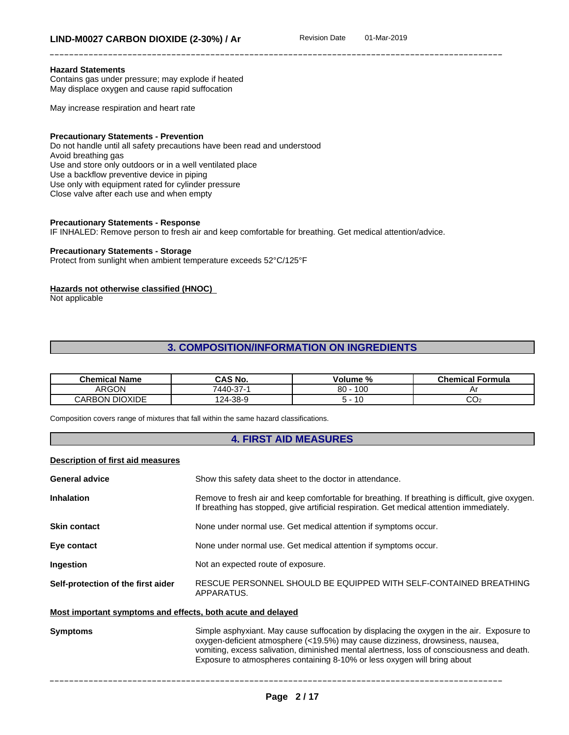#### **Hazard Statements**

Contains gas under pressure; may explode if heated May displace oxygen and cause rapid suffocation

May increase respiration and heart rate

#### **Precautionary Statements - Prevention**

Do not handle until all safety precautions have been read and understood Avoid breathing gas Use and store only outdoors or in a well ventilated place Use a backflow preventive device in piping Use only with equipment rated for cylinder pressure Close valve after each use and when empty

#### **Precautionary Statements - Response**

IF INHALED: Remove person to fresh air and keep comfortable for breathing. Get medical attention/advice.

#### **Precautionary Statements - Storage**

Protect from sunlight when ambient temperature exceeds 52°C/125°F

#### **Hazards not otherwise classified (HNOC)**

Not applicable

## **3. COMPOSITION/INFORMATION ON INGREDIENTS**

| <b>Chemical Name</b>        | CAS No.                                     | . olume º<br>%       | – Chemical <b>⊑</b><br>Formula |
|-----------------------------|---------------------------------------------|----------------------|--------------------------------|
| ARGON                       | $\sim$ $\sim$<br>-<br>7440-37- <sup>.</sup> | 100<br>$\circ$<br>ou | -                              |
| <b>DIOXIDE</b><br>ARE<br>٦N | 124-38-9                                    | ۰u                   | ◡◡▵                            |

Composition covers range of mixtures that fall within the same hazard classifications.

#### **4. FIRST AID MEASURES**

#### **Description of first aid measures**

| <b>General advice</b>                                       | Show this safety data sheet to the doctor in attendance.                                                                                                                                     |  |  |
|-------------------------------------------------------------|----------------------------------------------------------------------------------------------------------------------------------------------------------------------------------------------|--|--|
| <b>Inhalation</b>                                           | Remove to fresh air and keep comfortable for breathing. If breathing is difficult, give oxygen.<br>If breathing has stopped, give artificial respiration. Get medical attention immediately. |  |  |
| <b>Skin contact</b>                                         | None under normal use. Get medical attention if symptoms occur.                                                                                                                              |  |  |
| Eye contact                                                 | None under normal use. Get medical attention if symptoms occur.                                                                                                                              |  |  |
| Ingestion                                                   | Not an expected route of exposure.                                                                                                                                                           |  |  |
| Self-protection of the first aider                          | RESCUE PERSONNEL SHOULD BE EQUIPPED WITH SELF-CONTAINED BREATHING<br>APPARATUS.                                                                                                              |  |  |
| Most important symptoms and effects, both acute and delayed |                                                                                                                                                                                              |  |  |
| <b>Symptoms</b>                                             | Simple asphyxiant. May cause suffocation by displacing the oxygen in the air. Exposure to                                                                                                    |  |  |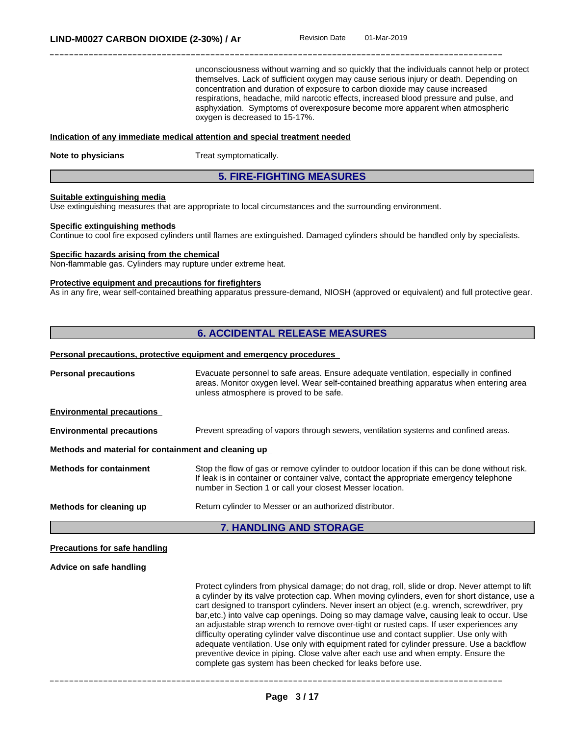unconsciousness without warning and so quickly that the individuals cannot help or protect themselves. Lack of sufficient oxygen may cause serious injury or death. Depending on concentration and duration of exposure to carbon dioxide may cause increased respirations, headache, mild narcotic effects, increased blood pressure and pulse, and asphyxiation. Symptoms of overexposure become more apparent when atmospheric oxygen is decreased to 15-17%.

#### **Indication of any immediate medical attention and special treatment needed**

**Note to physicians** Treat symptomatically.

#### **5. FIRE-FIGHTING MEASURES**

#### **Suitable extinguishing media**

Use extinguishing measures that are appropriate to local circumstances and the surrounding environment.

#### **Specific extinguishing methods**

Continue to cool fire exposed cylinders untilflames are extinguished. Damaged cylinders should be handled only by specialists.

#### **Specific hazards arising from the chemical**

Non-flammable gas. Cylinders may rupture under extreme heat.

#### **Protective equipment and precautions for firefighters**

As in any fire, wear self-contained breathing apparatus pressure-demand, NIOSH (approved or equivalent) and full protective gear.

## **6. ACCIDENTAL RELEASE MEASURES**

#### **Personal precautions, protective equipment and emergency procedures**

| <b>Environmental precautions</b><br>Methods and material for containment and cleaning up | Prevent spreading of vapors through sewers, ventilation systems and confined areas.                                                                                                                                                                   |
|------------------------------------------------------------------------------------------|-------------------------------------------------------------------------------------------------------------------------------------------------------------------------------------------------------------------------------------------------------|
| <b>Methods for containment</b>                                                           | Stop the flow of gas or remove cylinder to outdoor location if this can be done without risk.<br>If leak is in container or container valve, contact the appropriate emergency telephone<br>number in Section 1 or call your closest Messer location. |
| Methods for cleaning up                                                                  | Return cylinder to Messer or an authorized distributor.                                                                                                                                                                                               |

## **Precautions for safe handling**

## **Advice on safe handling**

Protect cylinders from physical damage; do not drag, roll, slide or drop. Never attempt to lift a cylinder by its valve protection cap. When moving cylinders, even for short distance, use a cart designed to transport cylinders. Never insert an object (e.g. wrench, screwdriver, pry bar,etc.) into valve cap openings. Doing so may damage valve, causing leak to occur. Use an adjustable strap wrench to remove over-tight or rusted caps. If user experiences any difficulty operating cylinder valve discontinue use and contact supplier. Use only with adequate ventilation. Use only with equipment rated for cylinder pressure. Use a backflow preventive device in piping. Close valve after each use and when empty. Ensure the complete gas system has been checked for leaks before use.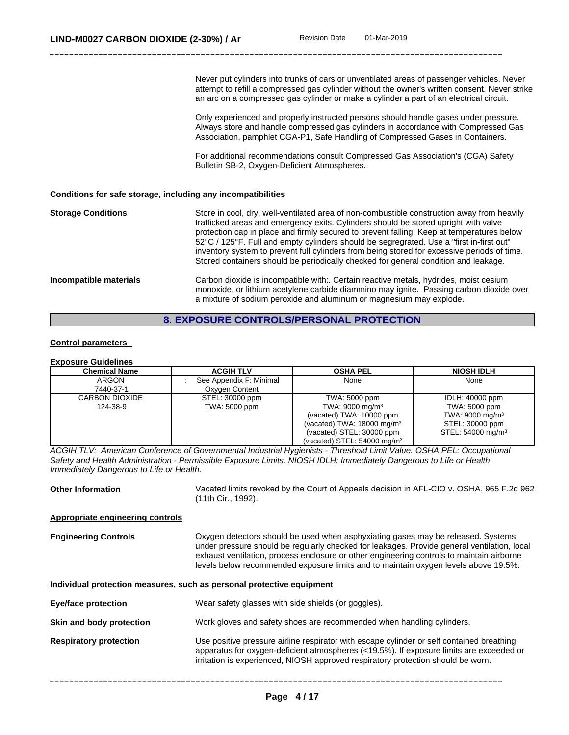Never put cylinders into trunks of cars or unventilated areas of passenger vehicles. Never attempt to refill a compressed gas cylinder without the owner's written consent. Never strike an arc on a compressed gas cylinder or make a cylinder a part of an electrical circuit.

Only experienced and properly instructed persons should handle gases under pressure. Always store and handle compressed gas cylinders in accordance with Compressed Gas Association, pamphlet CGA-P1, Safe Handling of Compressed Gases in Containers.

For additional recommendations consult Compressed Gas Association's (CGA) Safety Bulletin SB-2, Oxygen-Deficient Atmospheres.

#### **Conditions for safe storage, including any incompatibilities**

**Storage Conditions** Store in cool, dry, well-ventilated area of non-combustible construction away from heavily trafficked areas and emergency exits. Cylinders should be stored upright with valve protection cap in place and firmly secured to prevent falling. Keep at temperatures below 52°C / 125°F. Full and empty cylinders should be segregrated. Use a "first in-firstout" inventory system to prevent full cylinders from being stored for excessive periods of time. Stored containers should be periodically checked for general condition and leakage. **Incompatible materials** Carbon dioxide is incompatible with:. Certain reactive metals, hydrides, moist cesium monoxide, or lithium acetylene carbide diammino may ignite. Passing carbon dioxide over a mixture of sodium peroxide and aluminum or magnesium may explode.

#### **8. EXPOSURE CONTROLS/PERSONAL PROTECTION**

#### **Control parameters**

## **Exposure Guidelines**

| Chemical Name  | <b>ACGIH TLV</b>        | <b>OSHA PEL</b>                        | <b>NIOSH IDLH</b>             |
|----------------|-------------------------|----------------------------------------|-------------------------------|
| <b>ARGON</b>   | See Appendix F: Minimal | None                                   | None                          |
| 7440-37-1      | Oxygen Content          |                                        |                               |
| CARBON DIOXIDE | STEL: 30000 ppm         | TWA: 5000 ppm                          | IDLH: 40000 ppm               |
| 124-38-9       | TWA: 5000 ppm           | TWA: 9000 mg/m <sup>3</sup>            | TWA: 5000 ppm                 |
|                |                         | (vacated) TWA: 10000 ppm               | TWA: 9000 mg/m <sup>3</sup>   |
|                |                         | (vacated) TWA: $18000 \text{ mg/m}^3$  | STEL: 30000 ppm               |
|                |                         | (vacated) STEL: 30000 ppm              | STEL: 54000 mg/m <sup>3</sup> |
|                |                         | (vacated) STEL: $54000 \text{ mg/m}^3$ |                               |

*ACGIH TLV: American Conference of Governmental Industrial Hygienists - Threshold Limit Value. OSHA PEL: Occupational* Safety and Health Administration - Permissible Exposure Limits. NIOSH IDLH: Immediately Dangerous to Life or Health *Immediately Dangerous to Life or Health.*

**Other Information** Vacated limits revoked by the Court of Appeals decision in AFL-CIO v.OSHA, 965 F.2d 962 (11th Cir., 1992).

#### **Appropriate engineering controls**

**Engineering Controls** Oxygen detectors should be used when asphyxiating gases may be released. Systems under pressure should be regularly checked for leakages. Provide general ventilation, local exhaust ventilation, process enclosure or other engineering controls to maintain airborne levels below recommended exposure limits and to maintain oxygen levels above 19.5%.

#### **Individual protection measures, such as personal protective equipment**

| Eye/face protection           | Wear safety glasses with side shields (or goggles).                                                                                                                                                                                                                      |
|-------------------------------|--------------------------------------------------------------------------------------------------------------------------------------------------------------------------------------------------------------------------------------------------------------------------|
| Skin and body protection      | Work gloves and safety shoes are recommended when handling cylinders.                                                                                                                                                                                                    |
| <b>Respiratory protection</b> | Use positive pressure airline respirator with escape cylinder or self contained breathing<br>apparatus for oxygen-deficient atmospheres (<19.5%). If exposure limits are exceeded or<br>irritation is experienced, NIOSH approved respiratory protection should be worn. |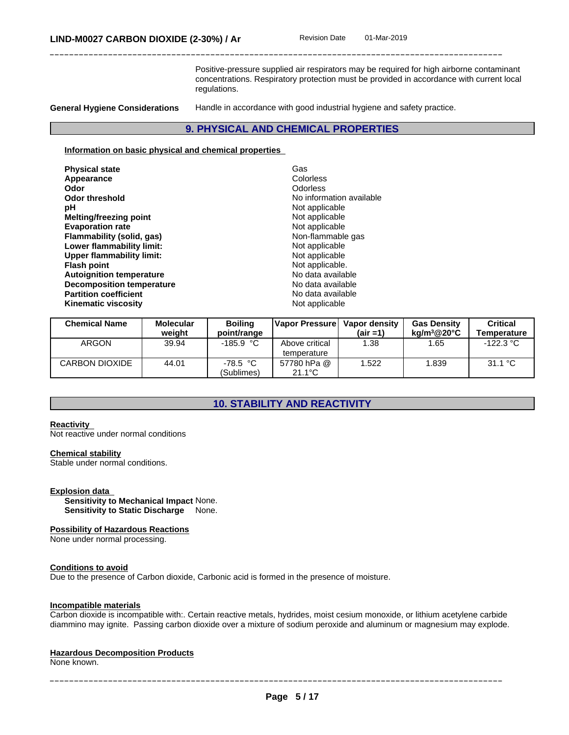Positive-pressure supplied air respirators may be required for high airborne contaminant concentrations. Respiratory protection must be provided in accordance with current local regulations.

**General Hygiene Considerations** Handle in accordance with good industrial hygiene and safety practice.

#### **9. PHYSICAL AND CHEMICAL PROPERTIES**

#### **Information on basic physical and chemical properties**

| Non-flammable gas<br>Flammability (solid, gas)<br>Lower flammability limit:<br>Not applicable<br>Not applicable<br><b>Upper flammability limit:</b><br>Not applicable.<br><b>Flash point</b><br>No data available<br><b>Autoignition temperature</b><br><b>Decomposition temperature</b><br>No data available<br><b>Partition coefficient</b><br>No data available<br>Not applicable<br><b>Kinematic viscosity</b> | <b>Physical state</b><br>Appearance<br>Odor<br><b>Odor threshold</b><br>рH<br>Melting/freezing point<br><b>Evaporation rate</b> | Gas<br>Colorless<br>Odorless<br>No information available<br>Not applicable<br>Not applicable<br>Not applicable |
|--------------------------------------------------------------------------------------------------------------------------------------------------------------------------------------------------------------------------------------------------------------------------------------------------------------------------------------------------------------------------------------------------------------------|---------------------------------------------------------------------------------------------------------------------------------|----------------------------------------------------------------------------------------------------------------|
|--------------------------------------------------------------------------------------------------------------------------------------------------------------------------------------------------------------------------------------------------------------------------------------------------------------------------------------------------------------------------------------------------------------------|---------------------------------------------------------------------------------------------------------------------------------|----------------------------------------------------------------------------------------------------------------|

| <b>Chemical Name</b> | <b>Molecular</b> | <b>Boiling</b>           | <b>Napor Pressurel</b>          | Vapor density | <b>Gas Density</b>    | Critical           |
|----------------------|------------------|--------------------------|---------------------------------|---------------|-----------------------|--------------------|
|                      | weight           | point/range              |                                 | $(air = 1)$   | kg/m $3@20^{\circ}$ C | <b>Temperature</b> |
| <b>ARGON</b>         | 39.94            | $-185.9 °C$              | Above critical<br>temperature   | .38           | .65                   | -122.3 °C          |
| CARBON DIOXIDE       | 44.01            | $-78.5 °C$<br>(Sublimes) | 57780 hPa @<br>$21.1^{\circ}$ C | .522          | .839                  | 31.1 °C            |

## **10. STABILITY AND REACTIVITY**

#### **Reactivity**

Not reactive under normal conditions

#### **Chemical stability**

Stable under normal conditions.

#### **Explosion data**

**Sensitivity to Mechanical Impact** None. **Sensitivity to Static Discharge** None.

#### **Possibility of Hazardous Reactions**

None under normal processing.

#### **Conditions to avoid**

Due to the presence of Carbon dioxide, Carbonic acid is formed in the presence of moisture.

#### **Incompatible materials**

Carbon dioxide isincompatible with:. Certain reactive metals, hydrides, moist cesium monoxide, or lithium acetylene carbide diammino may ignite. Passing carbon dioxide over a mixture of sodium peroxide and aluminum or magnesium may explode.

#### **Hazardous Decomposition Products**

None known.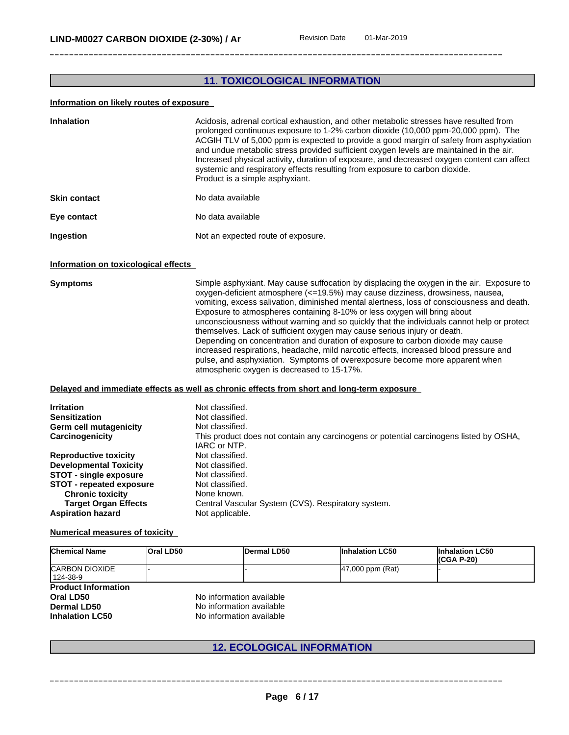## **11. TOXICOLOGICAL INFORMATION**

#### **Information on likely routes of exposure**

| <b>Inhalation</b>   | Acidosis, adrenal cortical exhaustion, and other metabolic stresses have resulted from<br>prolonged continuous exposure to 1-2% carbon dioxide (10,000 ppm-20,000 ppm). The<br>ACGIH TLV of 5,000 ppm is expected to provide a good margin of safety from asphyxiation<br>and undue metabolic stress provided sufficient oxygen levels are maintained in the air.<br>Increased physical activity, duration of exposure, and decreased oxygen content can affect<br>systemic and respiratory effects resulting from exposure to carbon dioxide.<br>Product is a simple asphyxiant. |
|---------------------|-----------------------------------------------------------------------------------------------------------------------------------------------------------------------------------------------------------------------------------------------------------------------------------------------------------------------------------------------------------------------------------------------------------------------------------------------------------------------------------------------------------------------------------------------------------------------------------|
| <b>Skin contact</b> | No data available                                                                                                                                                                                                                                                                                                                                                                                                                                                                                                                                                                 |
| Eye contact         | No data available                                                                                                                                                                                                                                                                                                                                                                                                                                                                                                                                                                 |
| Ingestion           | Not an expected route of exposure.                                                                                                                                                                                                                                                                                                                                                                                                                                                                                                                                                |

#### **Information on toxicological effects**

**Symptoms** Simple asphyxiant. May cause suffocation by displacing the oxygen in the air. Exposure to oxygen-deficient atmosphere (<=19.5%) may cause dizziness, drowsiness, nausea, vomiting, excess salivation, diminished mental alertness, loss of consciousness and death. Exposure to atmospheres containing 8-10% or less oxygen will bring about unconsciousness without warning and so quickly that the individuals cannot help or protect themselves. Lack of sufficient oxygen may cause serious injury or death. Depending on concentration and duration of exposure to carbon dioxide may cause increased respirations, headache, mild narcotic effects, increased blood pressure and pulse, and asphyxiation. Symptoms of overexposure become more apparent when atmospheric oxygen is decreased to 15-17%.

#### **Delayed and immediate effects as well as chronic effects from short and long-term exposure**

| <b>Irritation</b><br><b>Sensitization</b> | Not classified.<br>Not classified.                                                                     |
|-------------------------------------------|--------------------------------------------------------------------------------------------------------|
| Germ cell mutagenicity                    | Not classified.                                                                                        |
| Carcinogenicity                           | This product does not contain any carcinogens or potential carcinogens listed by OSHA,<br>IARC or NTP. |
| <b>Reproductive toxicity</b>              | Not classified.                                                                                        |
| <b>Developmental Toxicity</b>             | Not classified.                                                                                        |
| <b>STOT - single exposure</b>             | Not classified.                                                                                        |
| <b>STOT - repeated exposure</b>           | Not classified.                                                                                        |
| <b>Chronic toxicity</b>                   | None known.                                                                                            |
| <b>Target Organ Effects</b>               | Central Vascular System (CVS). Respiratory system.                                                     |
| <b>Aspiration hazard</b>                  | Not applicable.                                                                                        |

#### **Numerical measures of toxicity**

| <b>Chemical Name</b>                                                                    | <b>Oral LD50</b>                                                                 | Dermal LD50 | <b>Inhalation LC50</b> | <b>Inhalation LC50</b><br>$(CGA P-20)$ |
|-----------------------------------------------------------------------------------------|----------------------------------------------------------------------------------|-------------|------------------------|----------------------------------------|
| <b>CARBON DIOXIDE</b><br>124-38-9                                                       |                                                                                  |             | $ 47,000$ ppm $(Rat)$  |                                        |
| <b>Product Information</b><br>Oral LD50<br><b>Dermal LD50</b><br><b>Inhalation LC50</b> | No information available<br>No information available<br>No information available |             |                        |                                        |

## **12. ECOLOGICAL INFORMATION**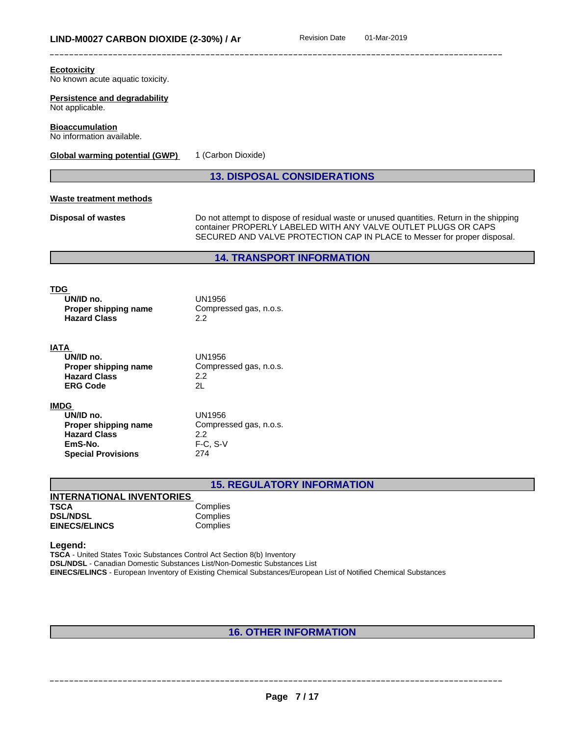| <b>Ecotoxicity</b><br>No known acute aquatic toxicity.                                                          |                                                                                                                                                                                                                                        |
|-----------------------------------------------------------------------------------------------------------------|----------------------------------------------------------------------------------------------------------------------------------------------------------------------------------------------------------------------------------------|
| Persistence and degradability<br>Not applicable.                                                                |                                                                                                                                                                                                                                        |
| <b>Bioaccumulation</b><br>No information available.                                                             |                                                                                                                                                                                                                                        |
| <b>Global warming potential (GWP)</b>                                                                           | 1 (Carbon Dioxide)                                                                                                                                                                                                                     |
|                                                                                                                 | <b>13. DISPOSAL CONSIDERATIONS</b>                                                                                                                                                                                                     |
| <b>Waste treatment methods</b>                                                                                  |                                                                                                                                                                                                                                        |
| <b>Disposal of wastes</b>                                                                                       | Do not attempt to dispose of residual waste or unused quantities. Return in the shipping<br>container PROPERLY LABELED WITH ANY VALVE OUTLET PLUGS OR CAPS<br>SECURED AND VALVE PROTECTION CAP IN PLACE to Messer for proper disposal. |
|                                                                                                                 | <b>14. TRANSPORT INFORMATION</b>                                                                                                                                                                                                       |
| <b>TDG</b><br>UN/ID no.<br>Proper shipping name<br><b>Hazard Class</b>                                          | <b>UN1956</b><br>Compressed gas, n.o.s.<br>$2.2\phantom{0}$                                                                                                                                                                            |
| <b>IATA</b><br>UN/ID no.<br>Proper shipping name<br><b>Hazard Class</b><br><b>ERG Code</b>                      | UN1956<br>Compressed gas, n.o.s.<br>2.2<br>2L                                                                                                                                                                                          |
| <b>IMDG</b><br>UN/ID no.<br>Proper shipping name<br><b>Hazard Class</b><br>EmS-No.<br><b>Special Provisions</b> | <b>UN1956</b><br>Compressed gas, n.o.s.<br>$2.2\phantom{0}$<br>$F-C, S-V$<br>274                                                                                                                                                       |
|                                                                                                                 | <b>15. REGULATORY INFORMATION</b>                                                                                                                                                                                                      |
| <b>INTERNATIONAL INVENTORIES</b><br><b>TSCA</b>                                                                 |                                                                                                                                                                                                                                        |
| <b>DSL/NDSL</b><br><b>EINECS/ELINCS</b>                                                                         | Complies<br>Complies<br>Complies                                                                                                                                                                                                       |

**Legend:**

**TSCA** - United States Toxic Substances Control Act Section 8(b) Inventory **DSL/NDSL** - Canadian Domestic Substances List/Non-Domestic Substances List **EINECS/ELINCS** - European Inventory of Existing Chemical Substances/European List of Notified Chemical Substances

## **16. OTHER INFORMATION**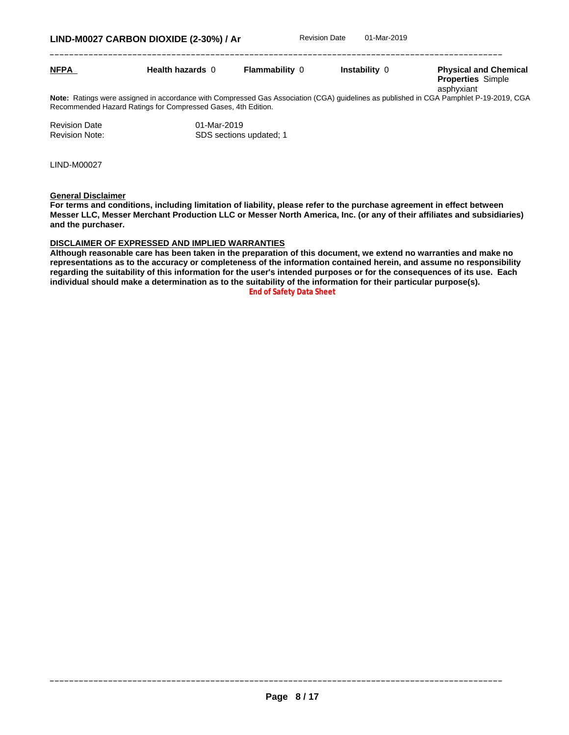| <b>NFPA</b> | <b>Health hazards 0</b>                                                                                                                                                                                 | <b>Flammability 0</b> | Instability 0 | <b>Physical and Chemical</b><br><b>Properties Simple</b><br>asphyxiant |
|-------------|---------------------------------------------------------------------------------------------------------------------------------------------------------------------------------------------------------|-----------------------|---------------|------------------------------------------------------------------------|
|             | Note: Ratings were assigned in accordance with Compressed Gas Association (CGA) quidelines as published in CGA Pamphlet P-19-2019, CGA<br>Recommended Hazard Ratings for Compressed Gases, 4th Edition. |                       |               |                                                                        |

| <b>Revision Date</b>  | 01-Mar-2019             |
|-----------------------|-------------------------|
| <b>Revision Note:</b> | SDS sections updated; 1 |

LIND-M00027

**General Disclaimer**

For terms and conditions, including limitation of liability, please refer to the purchase agreement in effect between Messer LLC, Messer Merchant Production LLC or Messer North America, Inc. (or any of their affiliates and subsidiaries) **and the purchaser.**

#### **DISCLAIMER OF EXPRESSED AND IMPLIED WARRANTIES**

Although reasonable care has been taken in the preparation of this document, we extend no warranties and make no representations as to the accuracy or completeness of the information contained herein, and assume no responsibility regarding the suitability of this information for the user's intended purposes or for the consequences of its use. Each **individual should make a determination as to the suitability of the information for their particular purpose(s). End of Safety Data Sheet**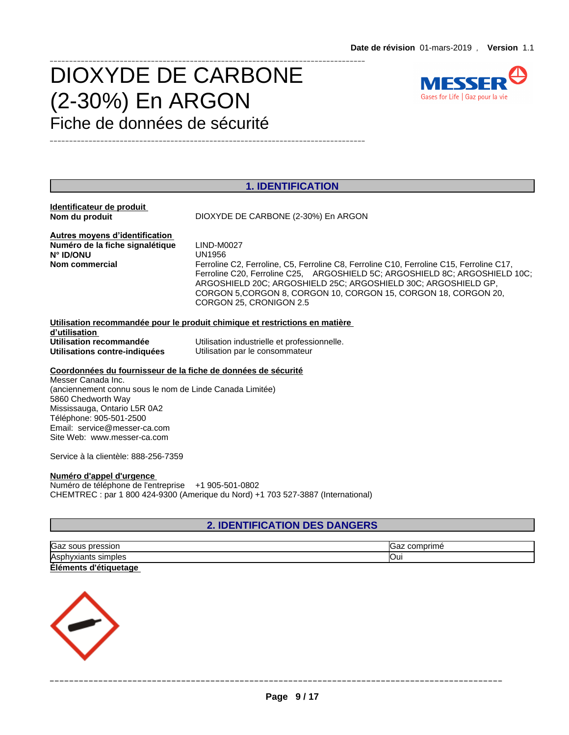# DIOXYDE DE CARBONE  $(2-30\%)$  En ARGON Gases for Life | Gaz pour la vie Fiche de données de sécurité



## **1. IDENTIFICATION**

**Identificateur de produit Nom du produit** DIOXYDE DE CARBONE (2-30%) En ARGON

\_\_\_\_\_\_\_\_\_\_\_\_\_\_\_\_\_\_\_\_\_\_\_\_\_\_\_\_\_\_\_\_\_\_\_\_\_\_\_\_\_\_\_\_\_\_\_\_\_\_\_\_\_\_\_\_\_\_\_\_\_\_\_\_\_\_\_\_\_\_\_\_\_\_\_\_\_\_\_\_\_

\_\_\_\_\_\_\_\_\_\_\_\_\_\_\_\_\_\_\_\_\_\_\_\_\_\_\_\_\_\_\_\_\_\_\_\_\_\_\_\_\_\_\_\_\_\_\_\_\_\_\_\_\_\_\_\_\_\_\_\_\_\_\_\_\_\_\_\_\_\_\_\_\_\_\_\_\_\_\_\_\_

**Autres moyens d'identification<br>Numéro de la fiche signalétique LIND-M0027**  $\overline{\text{Numbero de}}$  la fiche signalétique **N° ID/ONU** UN1956

**Nom commercial Ferroline C2, Ferroline, C5, Ferroline C8, Ferroline C10, Ferroline C15, Ferroline C17,** Ferroline C20, Ferroline C25, ARGOSHIELD 5C; ARGOSHIELD 8C; ARGOSHIELD 10C; ARGOSHIELD 20C; ARGOSHIELD 25C; ARGOSHIELD 30C; ARGOSHIELD GP, CORGON 5,CORGON 8, CORGON 10, CORGON 15, CORGON 18, CORGON 20, CORGON 25, CRONIGON 2.5

#### **Utilisation recommandée pour le produit chimique et restrictions en matière d'utilisation Utilisation recommandée** Utilisation industrielle et professionnelle.<br> **Utilisations contre-indiquées** Utilisation par le consommateur **Utilisation par le consommateur**

#### **Coordonnées du fournisseur de la fiche de données de sécurité**

Messer Canada Inc. (anciennement connu sous le nom de Linde Canada Limitée) 5860 Chedworth Way Mississauga, Ontario L5R 0A2 Téléphone: 905-501-2500 Email: service@messer-ca.com Site Web: www.messer-ca.com

Service à la clientèle:888-256-7359

#### **Numéro d'appel d'urgence**

Numéro de téléphone de l'entreprise +1 905-501-0802 CHEMTREC : par 1800 424-9300 (Amerique du Nord) +1 703 527-3887 (International)

## **2. IDENTIFICATION DES DANGERS**

| Gaz sous<br>pression            | comprimé<br>saz. |
|---------------------------------|------------------|
| Asphyxiants<br>hyxiants simples | <b>Our</b>       |
| Éléments d'<br>d'étiquetage     |                  |

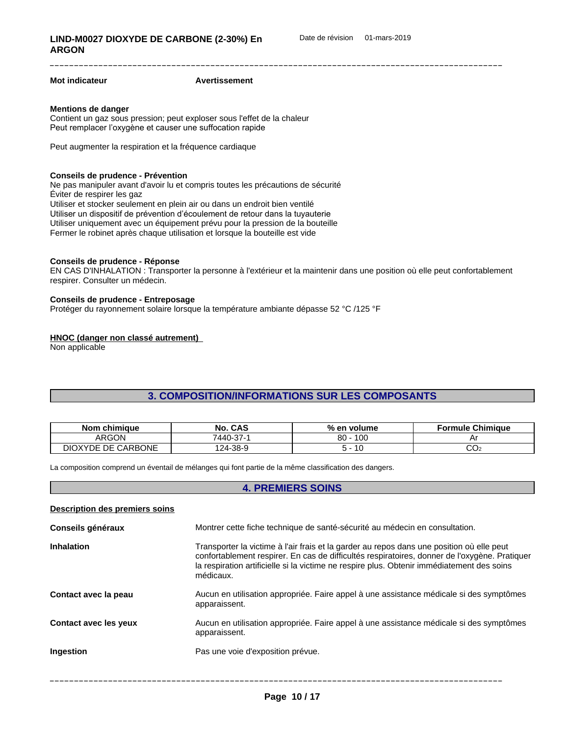#### **Mot indicateur Avertissement**

#### **Mentions de danger**

Contient un gaz sous pression; peut exploser sous l'effet de la chaleur Peut remplacer l'oxygène et causer une suffocation rapide

Peut augmenter la respiration et la fréquence cardiaque

#### **Conseils de prudence - Prévention**

Ne pas manipuler avant d'avoir lu et compris toutes les précautions de sécurité Éviter de respirer les gaz Utiliser et stocker seulement en plein air ou dans un endroit bien ventilé Utiliser un dispositif de prévention d'écoulement de retour dans la tuyauterie Utiliser uniquement avec un équipement prévu pour la pression de la bouteille Fermer le robinet après chaque utilisation et lorsque la bouteille est vide

#### **Conseils de prudence - Réponse**

EN CAS D'INHALATION : Transporter la personne à l'extérieur etla maintenir dans une position où elle peut confortablement respirer. Consulter un médecin.

#### **Conseils de prudence - Entreposage**

Protéger du rayonnement solaire lorsque la température ambiante dépasse 52 °C /125 °F

#### **HNOC (danger non classé autrement)**

**Description des premiers soins**

Non applicable

### **3. COMPOSITION/INFORMATIONS SUR LES COMPOSANTS**

| <b>Nom</b><br>chimiaue                | CAS<br>No.              | $%$ en<br>∖ volume       | <b>Chimiaue</b><br>-ormule |
|---------------------------------------|-------------------------|--------------------------|----------------------------|
| ARGON                                 | $\sim$<br>7440-<br>- 10 | $\sqrt{2}$<br>80<br>טט י |                            |
| <b>CARBONE</b><br>DE.<br>DIOXY<br>YDE | 124-38-9                |                          | ~~<br>UU2                  |

La composition comprend un éventail de mélanges qui font partie de la même classification des dangers.

#### **4. PREMIERS SOINS**

| Conseils généraux            | Montrer cette fiche technique de santé-sécurité au médecin en consultation.                                                                                                                                                                                                                           |
|------------------------------|-------------------------------------------------------------------------------------------------------------------------------------------------------------------------------------------------------------------------------------------------------------------------------------------------------|
| <b>Inhalation</b>            | Transporter la victime à l'air frais et la garder au repos dans une position où elle peut<br>confortablement respirer. En cas de difficultés respiratoires, donner de l'oxygène. Pratiquer<br>la respiration artificielle si la victime ne respire plus. Obtenir immédiatement des soins<br>médicaux. |
| Contact avec la peau         | Aucun en utilisation appropriée. Faire appel à une assistance médicale si des symptômes<br>apparaissent.                                                                                                                                                                                              |
| <b>Contact avec les yeux</b> | Aucun en utilisation appropriée. Faire appel à une assistance médicale si des symptômes<br>apparaissent.                                                                                                                                                                                              |
| Ingestion                    | Pas une voie d'exposition prévue.                                                                                                                                                                                                                                                                     |
|                              |                                                                                                                                                                                                                                                                                                       |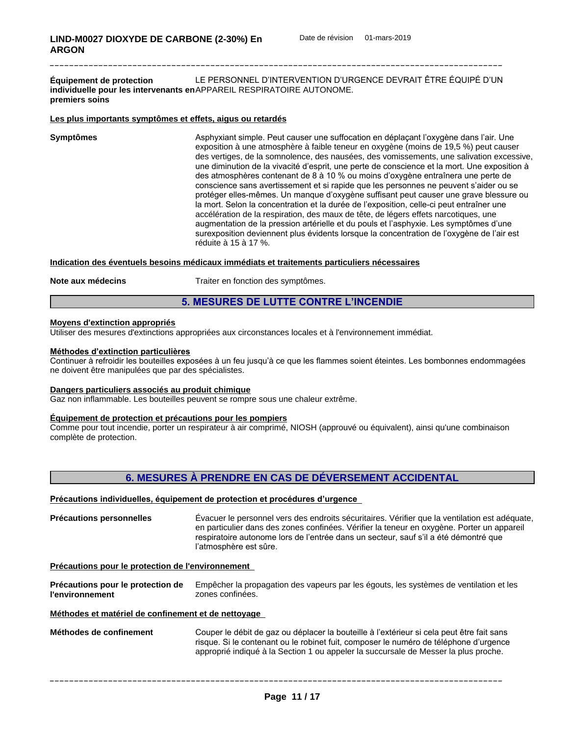**Équipement de protection individuelle pour les intervenants en** APPAREIL RESPIRATOIRE AUTONOME. **premiers soins** LE PERSONNEL D'INTERVENTION D'URGENCE DEVRAIT ÊTRE ÉQUIPÉ D'UN

#### **Les plus importants symptômes et effets, aigus ou retardés**

**Symptômes Asphyxiant simple. Peut causer une suffocation en déplaçant l'oxygène dans l'air. Une** exposition à une atmosphère à faible teneur en oxygène (moins de 19,5 %) peut causer des vertiges, de la somnolence, des nausées, des vomissements, une salivation excessive, une diminution de la vivacité d'esprit, une perte de conscience et la mort. Une exposition à des atmosphères contenant de 8 à 10 % ou moins d'oxygène entraînera une perte de conscience sans avertissement et si rapide que les personnes ne peuvent s'aider ou se protéger elles-mêmes. Un manque d'oxygène suffisant peut causer une grave blessure ou la mort. Selon la concentration et la durée de l'exposition, celle-ci peut entraîner une accélération de la respiration, des maux de tête, de légers effets narcotiques, une augmentation de la pression artérielle et du pouls et l'asphyxie. Les symptômes d'une surexposition deviennent plus évidents lorsque la concentration de l'oxygène de l'air est réduite à 15 à 17 %.

#### **Indication des éventuels besoins médicaux immédiats et traitements particuliers nécessaires**

**Note aux médecins** Traiter en fonction des symptômes.

#### **5. MESURES DE LUTTE CONTRE L'INCENDIE**

#### **Moyens d'extinction appropriés**

Utiliser des mesures d'extinctions appropriées aux circonstances locales et à l'environnement immédiat.

#### **Méthodes d'extinction particulières**

Continuer à refroidir les bouteilles exposées à un feu jusqu'à ce que les flammes soient éteintes. Les bombonnes endommagées ne doivent être manipulées que par des spécialistes.

#### **Dangers particuliers associés au produit chimique**

Gaz non inflammable. Les bouteilles peuvent se rompre sous une chaleur extrême.

#### **Équipement de protection et précautions pour les pompiers**

Comme pour tout incendie, porter un respirateur à air comprimé, NIOSH (approuvé ou équivalent), ainsi qu'une combinaison complète de protection.

## **6. MESURES À PRENDRE EN CAS DE DÉVERSEMENT ACCIDENTAL**

#### Précautions individuelles, équipement de protection et procédures d'urgence

**Précautions personnelles** Évacuer le personnel vers des endroits sécuritaires. Vérifier que la ventilation est adéquate, en particulier dans des zones confinées. Vérifier la teneur en oxygène. Porter un appareil respiratoire autonome lors de l'entrée dans un secteur, sauf s'il a été démontré que l'atmosphère est sûre.

#### **Précautions pour le protection de l'environnement**

**Précautions pour le protection de l'environnement** Empêcher la propagation des vapeurs par les égouts, les systèmes de ventilation et les zones confinées.

#### **Méthodes et matérielde confinement et de nettoyage**

Méthodes de confinement Couper le débit de gaz ou déplacer la bouteille à l'extérieur si cela peut être fait sans risque. Si le contenant ou le robinet fuit, composer le numéro de téléphone d'urgence approprié indiqué à la Section 1 ou appeler la succursale de Messer la plus proche.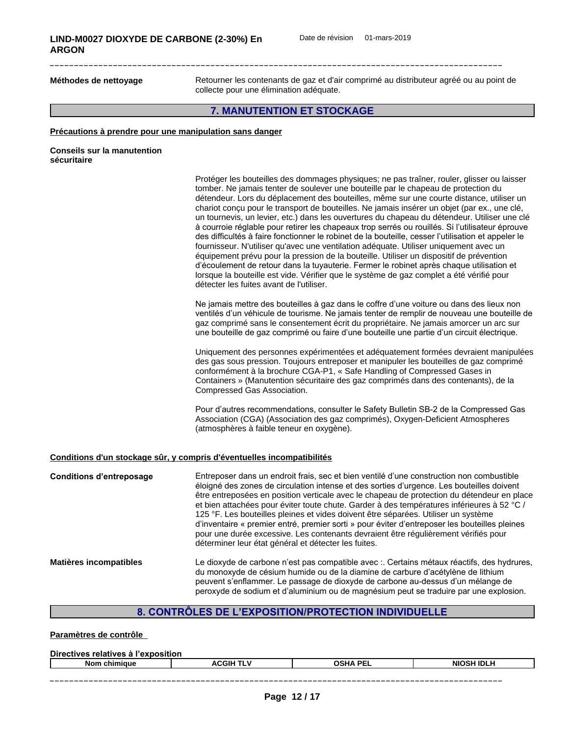Méthodes de nettoyage **Retourner les contenants de gaz et d'air comprimé au distributeur agréé ou au point de** collecte pour une élimination adéquate.

## **7. MANUTENTION ET STOCKAGE**

#### **Précautions à prendre pour une manipulation sans danger**

| <b>Conseils sur la manutention</b> |  |
|------------------------------------|--|
| sécuritaire                        |  |

|                                 | Protéger les bouteilles des dommages physiques; ne pas traîner, rouler, glisser ou laisser<br>tomber. Ne jamais tenter de soulever une bouteille par le chapeau de protection du<br>détendeur. Lors du déplacement des bouteilles, même sur une courte distance, utiliser un<br>chariot conçu pour le transport de bouteilles. Ne jamais insérer un objet (par ex., une clé,<br>un tournevis, un levier, etc.) dans les ouvertures du chapeau du détendeur. Utiliser une clé<br>à courroie réglable pour retirer les chapeaux trop serrés ou rouillés. Si l'utilisateur éprouve<br>des difficultés à faire fonctionner le robinet de la bouteille, cesser l'utilisation et appeler le<br>fournisseur. N'utiliser qu'avec une ventilation adéquate. Utiliser uniquement avec un<br>équipement prévu pour la pression de la bouteille. Utiliser un dispositif de prévention<br>d'écoulement de retour dans la tuyauterie. Fermer le robinet après chaque utilisation et<br>lorsque la bouteille est vide. Vérifier que le système de gaz complet a été vérifié pour<br>détecter les fuites avant de l'utiliser. |  |
|---------------------------------|---------------------------------------------------------------------------------------------------------------------------------------------------------------------------------------------------------------------------------------------------------------------------------------------------------------------------------------------------------------------------------------------------------------------------------------------------------------------------------------------------------------------------------------------------------------------------------------------------------------------------------------------------------------------------------------------------------------------------------------------------------------------------------------------------------------------------------------------------------------------------------------------------------------------------------------------------------------------------------------------------------------------------------------------------------------------------------------------------------------|--|
|                                 | Ne jamais mettre des bouteilles à gaz dans le coffre d'une voiture ou dans des lieux non<br>ventilés d'un véhicule de tourisme. Ne jamais tenter de remplir de nouveau une bouteille de<br>gaz comprimé sans le consentement écrit du propriétaire. Ne jamais amorcer un arc sur<br>une bouteille de gaz comprimé ou faire d'une bouteille une partie d'un circuit électrique.                                                                                                                                                                                                                                                                                                                                                                                                                                                                                                                                                                                                                                                                                                                                |  |
|                                 | Uniquement des personnes expérimentées et adéquatement formées devraient manipulées<br>des gas sous pression. Toujours entreposer et manipuler les bouteilles de gaz comprimé<br>conformément à la brochure CGA-P1, « Safe Handling of Compressed Gases in<br>Containers » (Manutention sécuritaire des gaz comprimés dans des contenants), de la<br>Compressed Gas Association.                                                                                                                                                                                                                                                                                                                                                                                                                                                                                                                                                                                                                                                                                                                              |  |
|                                 | Pour d'autres recommendations, consulter le Safety Bulletin SB-2 de la Compressed Gas<br>Association (CGA) (Association des gaz comprimés), Oxygen-Deficient Atmospheres<br>(atmosphères à faible teneur en oxygène).                                                                                                                                                                                                                                                                                                                                                                                                                                                                                                                                                                                                                                                                                                                                                                                                                                                                                         |  |
|                                 | Conditions d'un stockage sûr, y compris d'éventuelles incompatibilités                                                                                                                                                                                                                                                                                                                                                                                                                                                                                                                                                                                                                                                                                                                                                                                                                                                                                                                                                                                                                                        |  |
| <b>Conditions d'entreposage</b> | Entreposer dans un endroit frais, sec et bien ventilé d'une construction non combustible<br>éloigné des zones de circulation intense et des sorties d'urgence. Les bouteilles doivent<br>être entreposées en position verticale avec le chapeau de protection du détendeur en place<br>et bien attachées pour éviter toute chute. Garder à des températures inférieures à 52 °C /<br>125 °F. Les bouteilles pleines et vides doivent être séparées. Utiliser un système<br>d'inventaire « premier entré, premier sorti » pour éviter d'entreposer les bouteilles pleines<br>pour une durée excessive. Les contenants devraient être régulièrement vérifiés pour<br>déterminer leur état général et détecter les fuites.                                                                                                                                                                                                                                                                                                                                                                                       |  |
| <b>Matières incompatibles</b>   | Le dioxyde de carbone n'est pas compatible avec :. Certains métaux réactifs, des hydrures,<br>du monoxyde de césium humide ou de la diamine de carbure d'acétylène de lithium<br>peuvent s'enflammer. Le passage de dioxyde de carbone au-dessus d'un mélange de<br>peroxyde de sodium et d'aluminium ou de magnésium peut se traduire par une explosion.                                                                                                                                                                                                                                                                                                                                                                                                                                                                                                                                                                                                                                                                                                                                                     |  |
|                                 |                                                                                                                                                                                                                                                                                                                                                                                                                                                                                                                                                                                                                                                                                                                                                                                                                                                                                                                                                                                                                                                                                                               |  |

## 8. CONTRÔLES DE L'EXPOSITION/PROTECTION INDIVIDUELLE

| Paramètres de contrôle |
|------------------------|
|------------------------|

| <b>Directives</b><br>. .<br>.<br>- -<br>relatives<br>∟l'exposition<br>. а. |                  |                    |                   |  |
|----------------------------------------------------------------------------|------------------|--------------------|-------------------|--|
| Nom<br>⊦chimiaue                                                           | <b>ACGIH TLV</b> | OSHA<br><b>PEL</b> | <b>NIOSH IDLH</b> |  |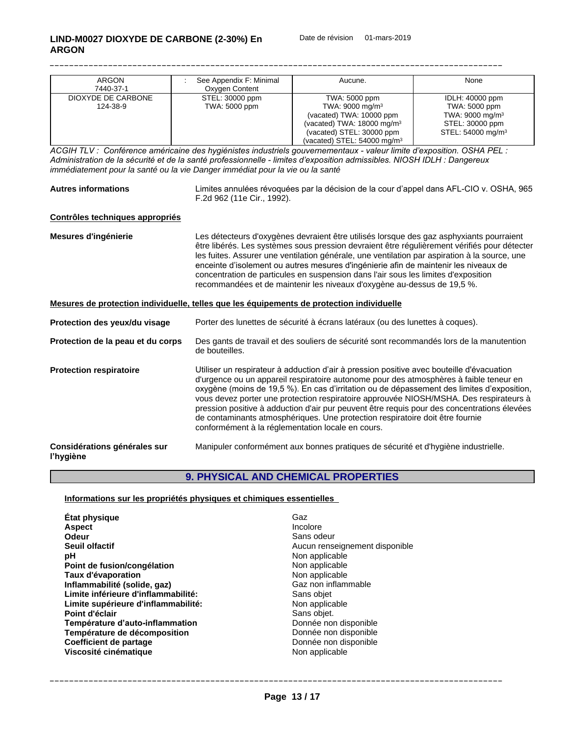| <b>ARGON</b>       | See Appendix F: Minimal | Aucune.                                | None                          |
|--------------------|-------------------------|----------------------------------------|-------------------------------|
| 7440-37-1          | Oxygen Content          |                                        |                               |
| DIOXYDE DE CARBONE | STEL: 30000 ppm         | TWA: 5000 ppm                          | IDLH: 40000 ppm               |
| 124-38-9           | TWA: 5000 ppm           | TWA: $9000 \text{ mg/m}^3$             | TWA: 5000 ppm                 |
|                    |                         | (vacated) TWA: 10000 ppm               | TWA: 9000 mg/m <sup>3</sup>   |
|                    |                         | (vacated) TWA: $18000 \text{ mg/m}^3$  | STEL: 30000 ppm               |
|                    |                         | (vacated) STEL: 30000 ppm              | STEL: 54000 mg/m <sup>3</sup> |
|                    |                         | (vacated) STEL: $54000 \text{ mg/m}^3$ |                               |

ACGIHTLV: Conférence américaine des hygiénistes industriels gouvernementaux - valeur limite d'exposition. OSHAPEL: Administration de la sécurité et de la santé professionnelle - limites d'exposition admissibles. NIOSH IDLH : Dangereux *immédiatement pour la santé ou la vie Danger immédiat pour la vie ou la santé*

| <b>Autres informations</b> | Limites annulées révoquées par la décision de la cour d'appel dans AFL-CIO v. OSHA, 965 |
|----------------------------|-----------------------------------------------------------------------------------------|
|                            | 1992).<br><sup>=</sup> .2d 962 (11e Cir                                                 |

#### **Contrôles techniques appropriés**

**Mesures d'ingénierie** Les détecteurs d'oxygènes devraient être utilisés lorsque des gaz asphyxiants pourraient être libérés. Les systèmes sous pression devraient être régulièrement vérifiés pour détecter les fuites. Assurer une ventilation générale, une ventilation par aspiration à la source, une enceinte d'isolement ou autres mesures d'ingénierie afin de maintenir les niveaux de concentration de particules en suspension dans l'air sous les limites d'exposition recommandées et de maintenir les niveaux d'oxygène au-dessus de 19,5 %.

#### **Mesures de protection individuelle, telles que les équipements de protection individuelle**

| Protection des yeux/du visage             | Porter des lunettes de sécurité à écrans latéraux (ou des lunettes à coques).                                                                                                                                                                                                                                                                                                                                                                                                                                                                                                                                    |
|-------------------------------------------|------------------------------------------------------------------------------------------------------------------------------------------------------------------------------------------------------------------------------------------------------------------------------------------------------------------------------------------------------------------------------------------------------------------------------------------------------------------------------------------------------------------------------------------------------------------------------------------------------------------|
| Protection de la peau et du corps         | Des gants de travail et des souliers de sécurité sont recommandés lors de la manutention<br>de bouteilles.                                                                                                                                                                                                                                                                                                                                                                                                                                                                                                       |
| <b>Protection respiratoire</b>            | Utiliser un respirateur à adduction d'air à pression positive avec bouteille d'évacuation<br>d'urgence ou un appareil respiratoire autonome pour des atmosphères à faible teneur en<br>oxygène (moins de 19,5 %). En cas d'irritation ou de dépassement des limites d'exposition,<br>vous devez porter une protection respiratoire approuvée NIOSH/MSHA. Des respirateurs à<br>pression positive à adduction d'air pur peuvent être requis pour des concentrations élevées<br>de contaminants atmosphériques. Une protection respiratoire doit être fournie<br>conformément à la réglementation locale en cours. |
| Considérations générales sur<br>l'hygiène | Manipuler conformément aux bonnes pratiques de sécurité et d'hygiène industrielle.                                                                                                                                                                                                                                                                                                                                                                                                                                                                                                                               |

## **9. PHYSICAL AND CHEMICAL PROPERTIES**

#### **Informations sur les propriétés physiques et chimiques essentielles**

| État physique                       | Gaz                            |
|-------------------------------------|--------------------------------|
| <b>Aspect</b>                       | Incolore                       |
| Odeur                               | Sans odeur                     |
| Seuil olfactif                      | Aucun renseignement disponible |
| рH                                  | Non applicable                 |
| Point de fusion/congélation         | Non applicable                 |
| Taux d'évaporation                  | Non applicable                 |
| Inflammabilité (solide, gaz)        | Gaz non inflammable            |
| Limite inférieure d'inflammabilité: | Sans objet                     |
| Limite supérieure d'inflammabilité: | Non applicable                 |
| Point d'éclair                      | Sans objet.                    |
| Température d'auto-inflammation     | Donnée non disponible          |
| Température de décomposition        | Donnée non disponible          |
| <b>Coefficient de partage</b>       | Donnée non disponible          |
| Viscosité cinématique               | Non applicable                 |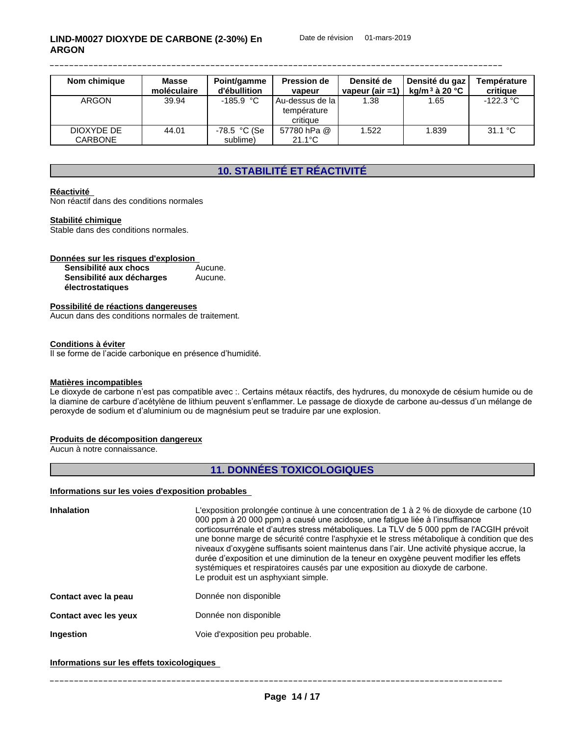| Nom chimique                 | <b>Masse</b><br>moléculaire | Point/gamme<br>d'ébullition | <b>Pression de</b><br>vapeur                   | Densité de<br>vapeur (air $=1$ ) | Densité du gaz<br>ka/m $^3$ à 20 °C | Température<br>critique |
|------------------------------|-----------------------------|-----------------------------|------------------------------------------------|----------------------------------|-------------------------------------|-------------------------|
| <b>ARGON</b>                 | 39.94                       | $-185.9 °C$                 | l Au-dessus de la l<br>température<br>critique | l.38                             | .65                                 | $-122.3 °C$             |
| DIOXYDE DE<br><b>CARBONE</b> | 44.01                       | -78.5 °C (Se<br>sublime)    | 57780 hPa @<br>$21.1^{\circ}$ C                | 1.522                            | .839                                | 31.1 °C                 |

## **10. STABILITÉ ET RÉACTIVITÉ**

#### **Réactivité**

Non réactif dans des conditions normales

#### **Stabilité chimique**

Stable dans des conditions normales.

| Données sur les risques d'explosion |         |  |
|-------------------------------------|---------|--|
| Sensibilité aux chocs               | Aucune. |  |
| Sensibilité aux décharges           | Aucune. |  |
| électrostatiques                    |         |  |

#### **Possibilité de réactions dangereuses**

Aucun dans des conditions normales de traitement.

#### **Conditions à éviter**

Il se forme de l'acide carbonique en présence d'humidité.

#### **Matières incompatibles**

Le dioxyde de carbone n'est pas compatible avec :. Certains métaux réactifs, des hydrures, du monoxyde de césium humide ou de la diamine de carbure d'acétylène de lithium peuvent s'enflammer. Le passage de dioxyde de carbone au-dessus d'un mélange de peroxyde de sodium et d'aluminium ou de magnésium peut se traduire par une explosion.

#### **Produits de décomposition dangereux**

Aucun à notre connaissance.

## **11. DONNÉES TOXICOLOGIQUES**

#### **Informations sur les voies d'exposition probables**

| <b>Inhalation</b>     | L'exposition prolongée continue à une concentration de 1 à 2 % de dioxyde de carbone (10<br>000 ppm à 20 000 ppm) a causé une acidose, une fatigue liée à l'insuffisance<br>corticosurrénale et d'autres stress métaboliques. La TLV de 5 000 ppm de l'ACGIH prévoit<br>une bonne marge de sécurité contre l'asphyxie et le stress métabolique à condition que des<br>niveaux d'oxygène suffisants soient maintenus dans l'air. Une activité physique accrue, la<br>durée d'exposition et une diminution de la teneur en oxygène peuvent modifier les effets<br>systémiques et respiratoires causés par une exposition au dioxyde de carbone.<br>Le produit est un asphyxiant simple. |
|-----------------------|---------------------------------------------------------------------------------------------------------------------------------------------------------------------------------------------------------------------------------------------------------------------------------------------------------------------------------------------------------------------------------------------------------------------------------------------------------------------------------------------------------------------------------------------------------------------------------------------------------------------------------------------------------------------------------------|
| Contact avec la peau  | Donnée non disponible                                                                                                                                                                                                                                                                                                                                                                                                                                                                                                                                                                                                                                                                 |
| Contact avec les yeux | Donnée non disponible                                                                                                                                                                                                                                                                                                                                                                                                                                                                                                                                                                                                                                                                 |
| Ingestion             | Voie d'exposition peu probable.                                                                                                                                                                                                                                                                                                                                                                                                                                                                                                                                                                                                                                                       |

## **Informations sur les effets toxicologiques**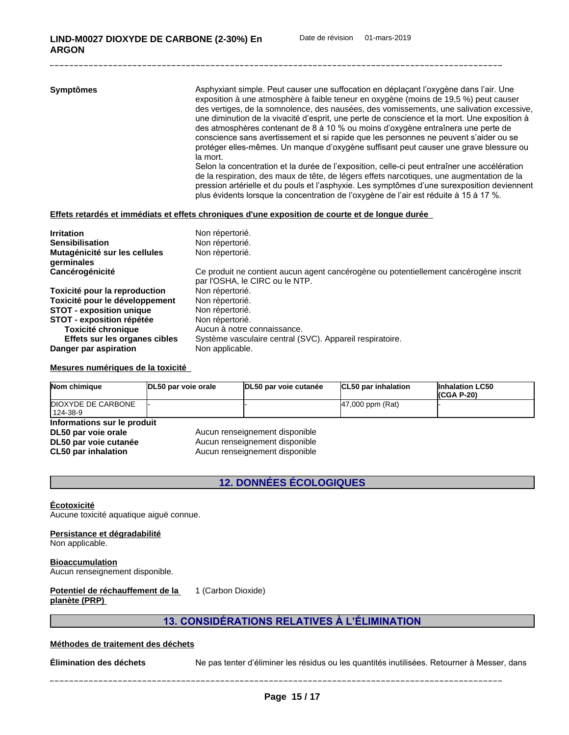| Non répertorié.                                                                                                         |
|-------------------------------------------------------------------------------------------------------------------------|
| Non répertorié.                                                                                                         |
| Non répertorié.                                                                                                         |
| Ce produit ne contient aucun agent cancérogène ou potentiellement cancérogène inscrit<br>par l'OSHA, le CIRC ou le NTP. |
| Non répertorié.                                                                                                         |
| Non répertorié.                                                                                                         |
| Non répertorié.                                                                                                         |
| Non répertorié.                                                                                                         |
| Aucun à notre connaissance.                                                                                             |
| Système vasculaire central (SVC). Appareil respiratoire.                                                                |
| Non applicable.                                                                                                         |
|                                                                                                                         |

#### **Mesures numériques de la toxicité**

| Nom chimique                     | DL50 par voie orale | DL50 par voie cutanée          | CL50 par inhalation | <b>Inhalation LC50</b><br>$(CGA P-20)$ |
|----------------------------------|---------------------|--------------------------------|---------------------|----------------------------------------|
| DIOXYDE DE CARBONE<br>  124-38-9 |                     |                                | 47,000 ppm (Rat)    |                                        |
| Informations sur le produit      |                     |                                |                     |                                        |
| DL50 par voie orale              |                     | Aucun renseignement disponible |                     |                                        |
| DL50 par voie cutanée            |                     | Aucun renseignement disponible |                     |                                        |

**CL50 par inhalation** Aucun renseignement disponible

## **12. DONNÉES ÉCOLOGIQUES**

#### **Écotoxicité**

Aucune toxicité aquatique aiguë connue.

#### **Persistance et dégradabilité**

Non applicable.

## **Bioaccumulation**

Aucun renseignement disponible.

#### **Potentiel de réchauffement de la planète (PRP)** 1 (Carbon Dioxide)

## **13.CONSIDÉRATIONSRELATIVESÀL'ÉLIMINATION**

#### **Méthodes de traitement des déchets**

**Élimination des déchets** Ne pas tenter d'éliminer les résidus ou les quantités inutilisées. Retourner à Messer, dans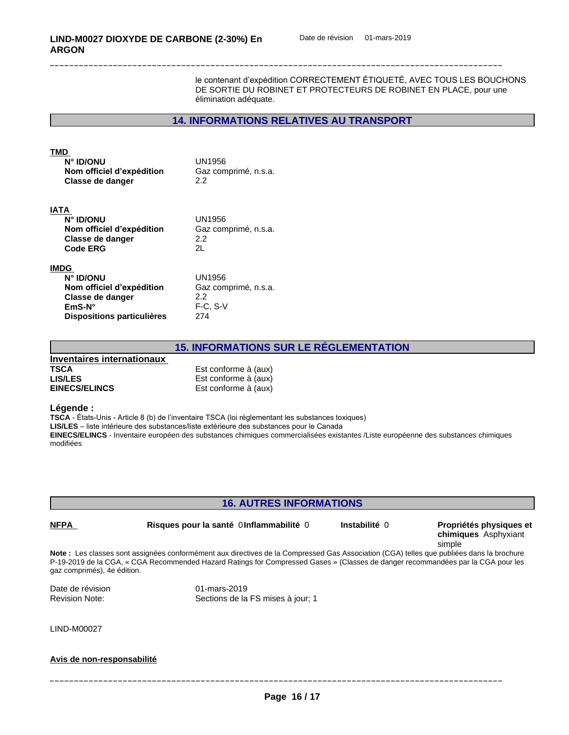le contenant d'expédition CORRECTEMENT ÉTIQUETÉ, AVEC TOUS LES BOUCHONS DE SORTIE DU ROBINET ET PROTECTEURS DE ROBINET EN PLACE, pour une élimination adéquate.

## **14. INFORMATIONS RELATIVES AU TRANSPORT**

#### **TMD**

| <b>N° ID/ONU</b>          | UN1956               |
|---------------------------|----------------------|
| Nom officiel d'expédition | Gaz comprimé, n.s.a. |
| Classe de danger          | 2.2                  |

#### **IATA**

| UN1956               |
|----------------------|
| Gaz comprimé, n.s.a. |
| 2.2                  |
| -2L                  |
|                      |

#### **IMDG**

| ◡                          |                      |
|----------------------------|----------------------|
| N° ID/ONU                  | UN1956               |
| Nom officiel d'expédition  | Gaz comprimé, n.s.a. |
| Classe de danger           | 2.2                  |
| $EmS-N^{\circ}$            | $F-C. S-V$           |
| Dispositions particulières | 274                  |
|                            |                      |

#### **15. INFORMATIONS SUR LE RÉGLEMENTATION**

| Inventaires internationaux |                      |
|----------------------------|----------------------|
| <b>TSCA</b>                | Est conforme à (aux) |
| <b>LIS/LES</b>             | Est conforme à (aux) |
| <b>EINECS/ELINCS</b>       | Est conforme à (aux) |

#### **Légende :**

**TSCA** - États-Unis - Article 8 (b) de l'inventaire TSCA (loi réglementant les substances toxiques)

LIS/LES - liste intérieure des substances/liste extérieure des substances pour le Canada

**EINECS/ELINCS** - Inventaire européen des substances chimiques commercialisées existantes /Liste européenne des substances chimiques modifiées

#### **16. AUTRES INFORMATIONS**

## **Note :** Les classes sont assignées conformément aux directives de la Compressed Gas Association (CGA) telles que publiées dans la brochure P-19-2019 de la CGA, « CGA Recommended Hazard Ratings for Compressed Gases » (Classes de danger recommandées par la CGA pour les gaz comprimés), 4e édition. Date de révision de la partie de révision de la partie de la partie de la partie de la partie de la partie de<br>District de la partie de la partie de la partie de la partie de la partie de la partie de la partie de la part Sections de la FS mises à jour; 1 **NFPA Risques pour la santé** 0**Inflammabilité** 0 **Instabilité** 0 **Propriétés physiques et chimiques** Asphyxiant simple

LIND-M00027

#### **Avis de non-responsabilité**